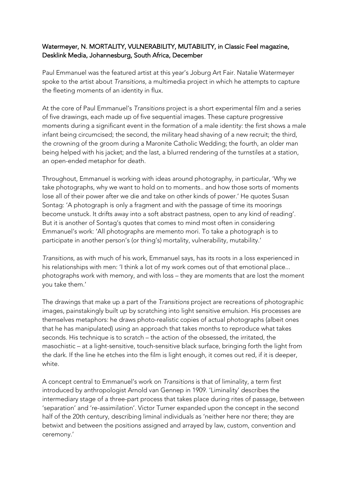## Watermeyer, N. MORTALITY, VULNERABILITY, MUTABILITY, in Classic Feel magazine, Desklink Media, Johannesburg, South Africa, December

Paul Emmanuel was the featured artist at this year's Joburg Art Fair. Natalie Watermeyer spoke to the artist about *Transitions*, a multimedia project in which he attempts to capture the fleeting moments of an identity in flux.

At the core of Paul Emmanuel's *Transitions* project is a short experimental film and a series of five drawings, each made up of five sequential images. These capture progressive moments during a significant event in the formation of a male identity: the first shows a male infant being circumcised; the second, the military head shaving of a new recruit; the third, the crowning of the groom during a Maronite Catholic Wedding; the fourth, an older man being helped with his jacket; and the last, a blurred rendering of the turnstiles at a station, an open-ended metaphor for death.

Throughout, Emmanuel is working with ideas around photography, in particular, 'Why we take photographs, why we want to hold on to moments.. and how those sorts of moments lose all of their power after we die and take on other kinds of power.' He quotes Susan Sontag: 'A photograph is only a fragment and with the passage of time its moorings become unstuck. It drifts away into a soft abstract pastness, open to any kind of reading'. But it is another of Sontag's quotes that comes to mind most often in considering Emmanuel's work: 'All photographs are memento mori. To take a photograph is to participate in another person's (or thing's) mortality, vulnerability, mutability.'

*Transitions*, as with much of his work, Emmanuel says, has its roots in a loss experienced in his relationships with men: 'I think a lot of my work comes out of that emotional place... photographs work with memory, and with loss – they are moments that are lost the moment you take them.'

The drawings that make up a part of the *Transitions* project are recreations of photographic images, painstakingly built up by scratching into light sensitive emulsion. His processes are themselves metaphors: he draws photo-realistic copies of actual photographs (albeit ones that he has manipulated) using an approach that takes months to reproduce what takes seconds. His technique is to scratch – the action of the obsessed, the irritated, the masochistic – at a light-sensitive, touch-sensitive black surface, bringing forth the light from the dark. If the line he etches into the film is light enough, it comes out red, if it is deeper, white.

A concept central to Emmanuel's work on *Transitions* is that of liminality, a term first introduced by anthropologist Arnold van Gennep in 1909. 'Liminality' describes the intermediary stage of a three-part process that takes place during rites of passage, between 'separation' and 're-assimilation'. Victor Turner expanded upon the concept in the second half of the 20th century, describing liminal individuals as 'neither here nor there; they are betwixt and between the positions assigned and arrayed by law, custom, convention and ceremony.'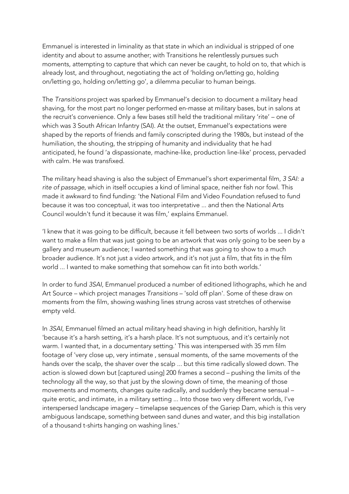Emmanuel is interested in liminality as that state in which an individual is stripped of one identity and about to assume another; with Transitions he relentlessly pursues such moments, attempting to capture that which can never be caught, to hold on to, that which is already lost, and throughout, negotiating the act of 'holding on/letting go, holding on/letting go, holding on/letting go', a dilemma peculiar to human beings.

The *Transitions* project was sparked by Emmanuel's decision to document a military head shaving, for the most part no longer performed en-masse at military bases, but in salons at the recruit's convenience. Only a few bases still held the traditional military 'rite' – one of which was 3 South African Infantry (SAI). At the outset, Emmanuel's expectations were shaped by the reports of friends and family conscripted during the 1980s, but instead of the humiliation, the shouting, the stripping of humanity and individuality that he had anticipated, he found 'a dispassionate, machine-like, production line-like' process, pervaded with calm. He was transfixed.

The military head shaving is also the subject of Emmanuel's short experimental film, *3 SAI: a rite of passage*, which in itself occupies a kind of liminal space, neither fish nor fowl. This made it awkward to find funding: 'the National Film and Video Foundation refused to fund because it was too conceptual, it was too interpretative ... and then the National Arts Council wouldn't fund it because it was film,' explains Emmanuel.

'I knew that it was going to be difficult, because it fell between two sorts of worlds ... I didn't want to make a film that was just going to be an artwork that was only going to be seen by a gallery and museum audience; I wanted something that was going to show to a much broader audience. It's not just a video artwork, and it's not just a film, that fits in the film world ... I wanted to make something that somehow can fit into both worlds.'

In order to fund *3SAI*, Emmanuel produced a number of editioned lithographs, which he and Art Source – which project manages *Transitions* – 'sold off plan'. Some of these draw on moments from the film, showing washing lines strung across vast stretches of otherwise empty veld.

In *3SAI*, Emmanuel filmed an actual military head shaving in high definition, harshly lit 'because it's a harsh setting, it's a harsh place. It's not sumptuous, and it's certainly not warm. I wanted that, in a documentary setting.' This was interspersed with 35 mm film footage of 'very close up, very intimate , sensual moments, of the same movements of the hands over the scalp, the shaver over the scalp ... but this time radically slowed down. The action is slowed down but [captured using] 200 frames a second – pushing the limits of the technology all the way, so that just by the slowing down of time, the meaning of those movements and moments, changes quite radically, and suddenly they became sensual – quite erotic, and intimate, in a military setting ... Into those two very different worlds, I've interspersed landscape imagery – timelapse sequences of the Gariep Dam, which is this very ambiguous landscape, something between sand dunes and water, and this big installation of a thousand t-shirts hanging on washing lines.'